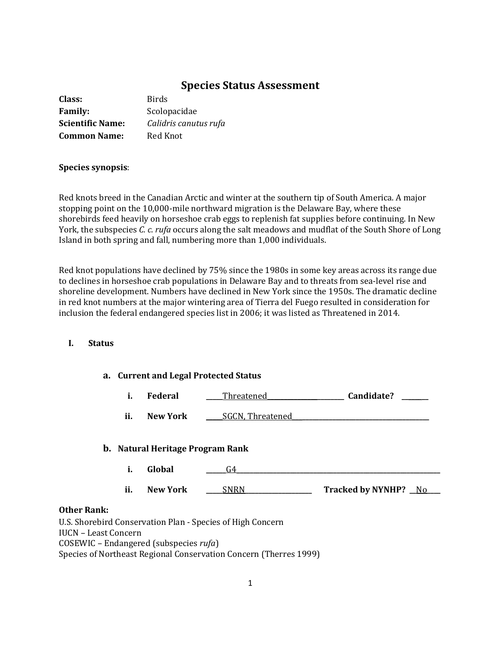# **Species Status Assessment**

| Class:                  | <b>Birds</b>          |
|-------------------------|-----------------------|
| <b>Family:</b>          | Scolopacidae          |
| <b>Scientific Name:</b> | Calidris canutus rufa |
| <b>Common Name:</b>     | Red Knot              |

## **Species synopsis**:

Red knots breed in the Canadian Arctic and winter at the southern tip of South America. A major stopping point on the 10,000-mile northward migration is the Delaware Bay, where these shorebirds feed heavily on horseshoe crab eggs to replenish fat supplies before continuing. In New York, the subspecies *C. c. rufa* occurs along the salt meadows and mudflat of the South Shore of Long Island in both spring and fall, numbering more than 1,000 individuals.

Red knot populations have declined by 75% since the 1980s in some key areas across its range due to declines in horseshoe crab populations in Delaware Bay and to threats from sea-level rise and shoreline development. Numbers have declined in New York since the 1950s. The dramatic decline in red knot numbers at the major wintering area of Tierra del Fuego resulted in consideration for inclusion the federal endangered species list in 2006; it was listed as Threatened in 2014.

# **I. Status**

| a. Current and Legal Protected Status                                                                            |     |                                         |                         |                      |  |
|------------------------------------------------------------------------------------------------------------------|-----|-----------------------------------------|-------------------------|----------------------|--|
|                                                                                                                  | i.  | Federal                                 | Threatened              | Candidate?           |  |
|                                                                                                                  | ii. | <b>New York</b>                         | <b>SGCN, Threatened</b> |                      |  |
|                                                                                                                  |     | <b>b.</b> Natural Heritage Program Rank |                         |                      |  |
|                                                                                                                  | i.  | Global                                  | G4                      |                      |  |
|                                                                                                                  | ii. | <b>New York</b>                         | SNRN                    | Tracked by NYNHP? No |  |
| <b>Other Rank:</b><br>U.S. Shorebird Conservation Plan - Species of High Concern<br><b>IUCN</b> – Least Concern  |     |                                         |                         |                      |  |
| $COSEWIC$ – Endangered (subspecies $rufa$ )<br>Species of Northeast Regional Conservation Concern (Therres 1999) |     |                                         |                         |                      |  |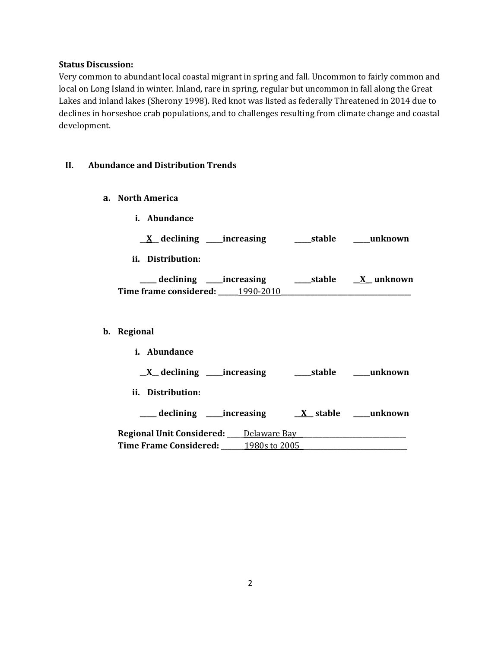#### **Status Discussion:**

Very common to abundant local coastal migrant in spring and fall. Uncommon to fairly common and local on Long Island in winter. Inland, rare in spring, regular but uncommon in fall along the Great Lakes and inland lakes (Sherony 1998). Red knot was listed as federally Threatened in 2014 due to declines in horseshoe crab populations, and to challenges resulting from climate change and coastal development.

## **II. Abundance and Distribution Trends**

- **a. North America**
	- **i. Abundance**

**\_\_X\_\_ declining \_\_\_\_\_increasing \_\_\_\_\_stable \_\_\_\_\_unknown**

**ii. Distribution:**

| declining _____increasing |           | stable | X unknown |
|---------------------------|-----------|--------|-----------|
| Time frame considered:    | 1990-2010 |        |           |

## **b. Regional**

| <i>i.</i> Abundance                                                                                      |             |                  |
|----------------------------------------------------------------------------------------------------------|-------------|------------------|
| $X$ declining ______ increasing                                                                          | _____stable | unknown          |
| ii. Distribution:                                                                                        |             |                  |
| ____ declining ______ increasing                                                                         |             | X stable unknown |
| <b>Regional Unit Considered: ____ Delaware Bay_______</b><br><b>Time Frame Considered:</b> 1980s to 2005 |             |                  |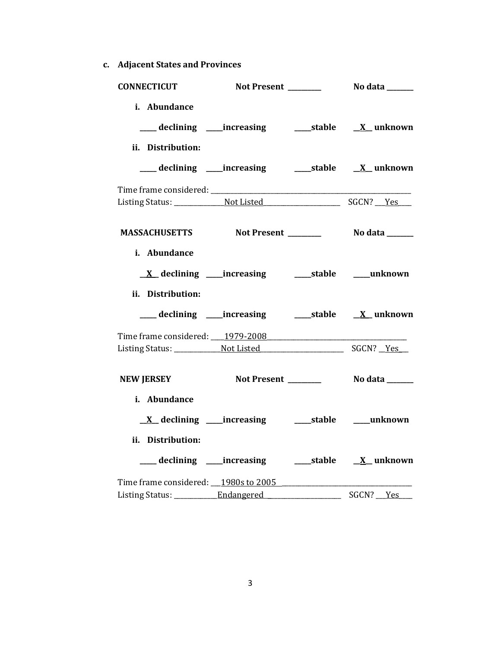**c. Adjacent States and Provinces**

| <b>CONNECTICUT</b>                      |                                                            |                |
|-----------------------------------------|------------------------------------------------------------|----------------|
| i. Abundance<br>ii. Distribution:       | ___ declining ____increasing ______stable ___ X__unknown   |                |
|                                         | ___ declining ____increasing ______stable ___ X__unknown   |                |
|                                         |                                                            |                |
|                                         |                                                            |                |
| MASSACHUSETTS Not Present Modata Modata |                                                            |                |
| i. Abundance<br>ii. Distribution:       | <u>X</u> declining ____increasing ______stable ____unknown |                |
|                                         |                                                            |                |
|                                         |                                                            |                |
|                                         |                                                            |                |
| <b>NEW JERSEY</b>                       | Not Present _______                                        | No data ______ |
| i. Abundance                            |                                                            |                |
| ii. Distribution:                       |                                                            |                |
| Time frame considered: 1980s to 2005    |                                                            |                |
|                                         |                                                            |                |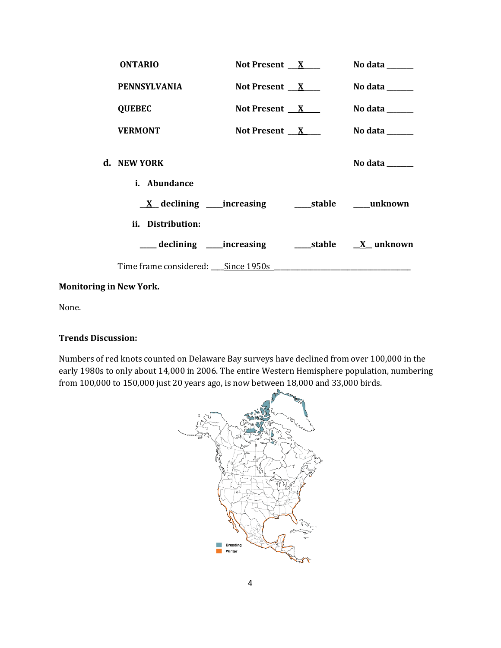| <b>ONTARIO</b>                         | Not Present $X$ | No data ______                                                                            |
|----------------------------------------|-----------------|-------------------------------------------------------------------------------------------|
| <b>PENNSYLVANIA</b>                    | Not Present $X$ | No data $\_\_\_\_\_\_\_\_\_\_\_\_\$                                                       |
| <b>QUEBEC</b>                          | Not Present $X$ | No data $\_\_$                                                                            |
| <b>VERMONT</b>                         | Not Present $X$ | No data $\_\_\_\_\_\_\_\_\_\_\_\$                                                         |
| d. NEW YORK<br><i>i.</i> Abundance     |                 | No data $\frac{1}{\sqrt{1-\frac{1}{2}}\cdot\frac{1}{\sqrt{1-\frac{1}{2}}}}$               |
|                                        |                 |                                                                                           |
| ii. Distribution:                      |                 |                                                                                           |
| ____ declining _____increasing         |                 |                                                                                           |
| Time frame considered: ___ Since 1950s |                 | the control of the control of the control of the control of the control of the control of |

# **Monitoring in New York.**

None.

# **Trends Discussion:**

Numbers of red knots counted on Delaware Bay surveys have declined from over 100,000 in the early 1980s to only about 14,000 in 2006. The entire Western Hemisphere population, numbering from 100,000 to 150,000 just 20 years ago, is now between 18,000 and 33,000 birds.

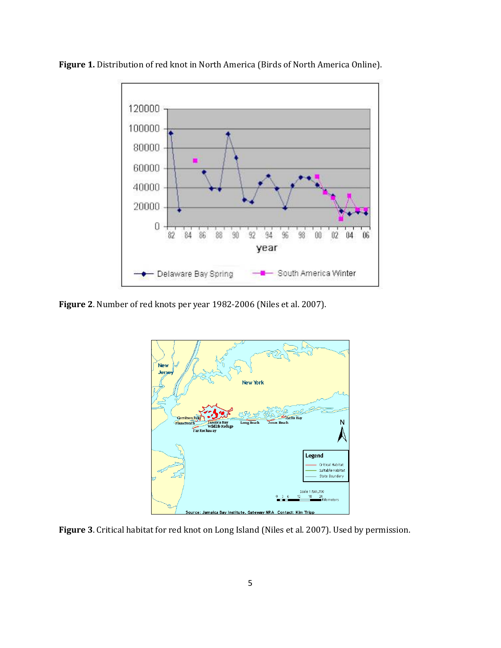

**Figure 1.** Distribution of red knot in North America (Birds of North America Online).

**Figure 2**. Number of red knots per year 1982-2006 (Niles et al. 2007).



**Figure 3**. Critical habitat for red knot on Long Island (Niles et al. 2007). Used by permission.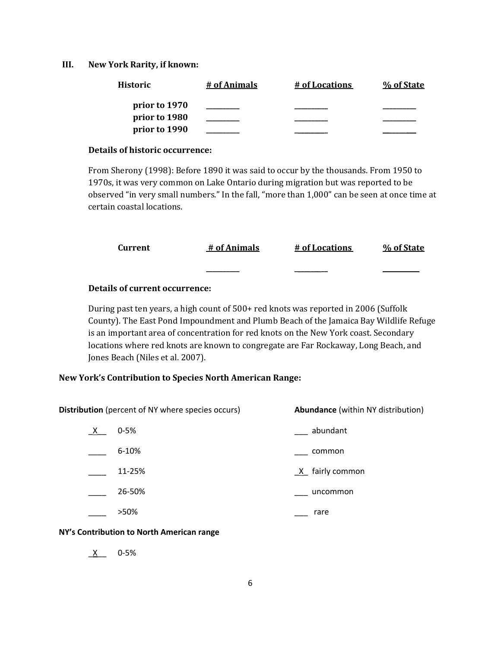#### **III. New York Rarity, if known:**

| <b>Historic</b> | # of Animals | # of Locations | % of State |
|-----------------|--------------|----------------|------------|
| prior to 1970   |              |                |            |
| prior to 1980   |              |                |            |
| prior to 1990   |              |                |            |

#### **Details of historic occurrence:**

From Sherony (1998): Before 1890 it was said to occur by the thousands. From 1950 to 1970s, it was very common on Lake Ontario during migration but was reported to be observed "in very small numbers." In the fall, "more than 1,000" can be seen at once time at certain coastal locations.

| Current | # of Animals | # of Locations | % of State |
|---------|--------------|----------------|------------|
|         |              |                |            |

## **Details of current occurrence:**

During past ten years, a high count of 500+ red knots was reported in 2006 (Suffolk County). The East Pond Impoundment and Plumb Beach of the Jamaica Bay Wildlife Refuge is an important area of concentration for red knots on the New York coast. Secondary locations where red knots are known to congregate are Far Rockaway, Long Beach, and Jones Beach (Niles et al. 2007).

## **New York's Contribution to Species North American Range:**

**Distribution** (percent of NY where species occurs) **Abundance** (within NY distribution)

| X | $0 - 5%$  | abundant          |
|---|-----------|-------------------|
|   | $6 - 10%$ | common            |
|   | 11-25%    | $X$ fairly common |
|   | 26-50%    | uncommon          |
|   | >50%      | rare              |

#### **NY's Contribution to North American range**

\_X\_\_ 0-5%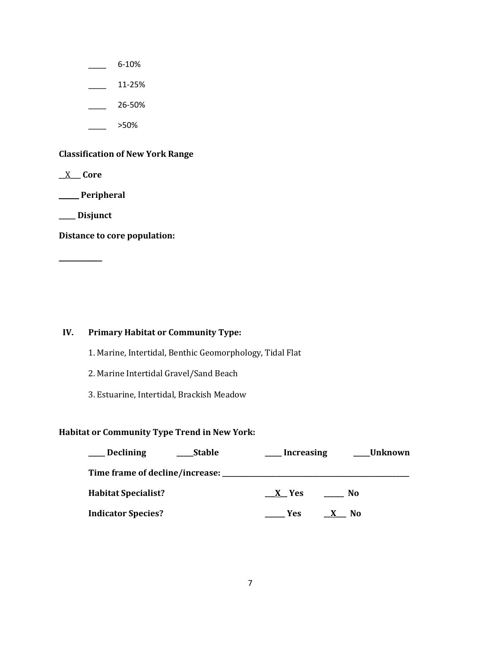- $-$  6-10%
- $\frac{11-25\%}{1}$
- $-26 50%$
- \_\_\_\_ >50%

# **Classification of New York Range**

\_\_X\_\_\_ **Core**

\_\_\_\_\_\_ **Peripheral**

**\_\_\_\_\_ Disjunct**

**Distance to core population:**

**\_\_\_\_\_\_\_\_\_\_\_**

# **IV. Primary Habitat or Community Type:**

- 1. Marine, Intertidal, Benthic Geomorphology, Tidal Flat
- 2. Marine Intertidal Gravel/Sand Beach
- 3. Estuarine, Intertidal, Brackish Meadow

## **Habitat or Community Type Trend in New York:**

| <b>Declining</b><br><b>Stable</b> | <b>Increasing</b> | Unknown |
|-----------------------------------|-------------------|---------|
| Time frame of decline/increase:   |                   |         |
| <b>Habitat Specialist?</b>        | X Yes             | No      |
| <b>Indicator Species?</b>         | Yes.              | N0      |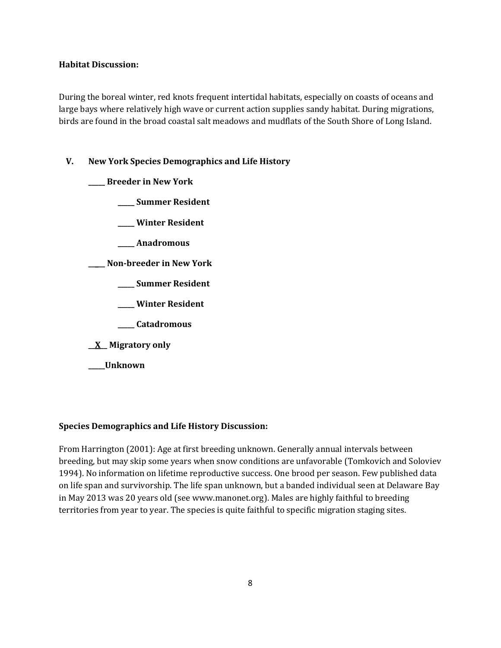## **Habitat Discussion:**

During the boreal winter, red knots frequent intertidal habitats, especially on coasts of oceans and large bays where relatively high wave or current action supplies sandy habitat. During migrations, birds are found in the broad coastal salt meadows and mudflats of the South Shore of Long Island.

# **V. New York Species Demographics and Life History**

**\_\_\_\_\_ Breeder in New York**

**\_\_\_\_\_ Summer Resident**

**\_\_\_\_\_ Winter Resident**

**\_\_\_\_\_ Anadromous**

**\_\_\_\_\_ Non-breeder in New York**

**\_\_\_\_\_ Summer Resident**

**\_\_\_\_\_ Winter Resident**

**\_\_\_\_\_ Catadromous**

**\_\_X\_\_ Migratory only**

**\_\_\_\_\_Unknown**

# **Species Demographics and Life History Discussion:**

From Harrington (2001): Age at first breeding unknown. Generally annual intervals between breeding, but may skip some years when snow conditions are unfavorable (Tomkovich and Soloviev 1994). No information on lifetime reproductive success. One brood per season. Few published data on life span and survivorship. The life span unknown, but a banded individual seen at Delaware Bay in May 2013 was 20 years old (see www.manonet.org). Males are highly faithful to breeding territories from year to year. The species is quite faithful to specific migration staging sites.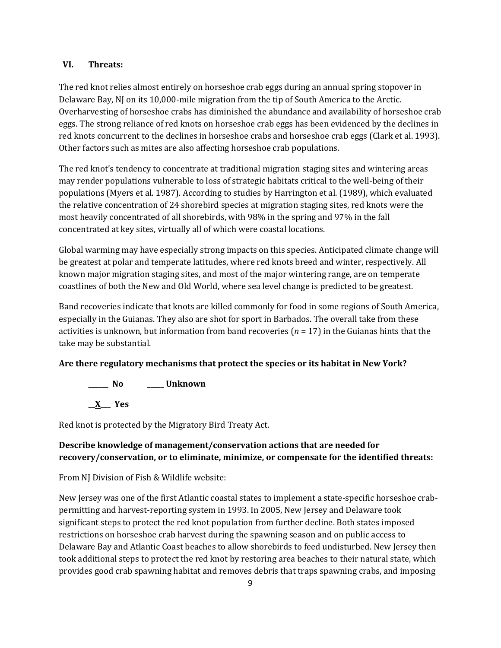## **VI. Threats:**

The red knot relies almost entirely on horseshoe crab eggs during an annual spring stopover in Delaware Bay, NJ on its 10,000-mile migration from the tip of South America to the Arctic. Overharvesting of horseshoe crabs has diminished the abundance and availability of horseshoe crab eggs. The strong reliance of red knots on horseshoe crab eggs has been evidenced by the declines in red knots concurrent to the declines in horseshoe crabs and horseshoe crab eggs (Clark et al. 1993). Other factors such as mites are also affecting horseshoe crab populations.

The red knot's tendency to concentrate at traditional migration staging sites and wintering areas may render populations vulnerable to loss of strategic habitats critical to the well-being of their populations (Myers et al. 1987). According to studies by Harrington et al. (1989), which evaluated the relative concentration of 24 shorebird species at migration staging sites, red knots were the most heavily concentrated of all shorebirds, with 98% in the spring and 97% in the fall concentrated at key sites, virtually all of which were coastal locations.

Global warming may have especially strong impacts on this species. Anticipated climate change will be greatest at polar and temperate latitudes, where red knots breed and winter, respectively. All known major migration staging sites, and most of the major wintering range, are on temperate coastlines of both the New and Old World, where sea level change is predicted to be greatest.

Band recoveries indicate that knots are killed commonly for food in some regions of South America, especially in the Guianas. They also are shot for sport in Barbados. The overall take from these activities is unknown, but information from band recoveries (*n* = 17) in the Guianas hints that the take may be substantial.

## **Are there regulatory mechanisms that protect the species or its habitat in New York?**

**\_\_\_\_\_\_ No \_\_\_\_\_ Unknown**

**\_\_X\_\_\_ Yes** 

Red knot is protected by the Migratory Bird Treaty Act.

# **Describe knowledge of management/conservation actions that are needed for recovery/conservation, or to eliminate, minimize, or compensate for the identified threats:**

From NJ Division of Fish & Wildlife website:

New Jersey was one of the first Atlantic coastal states to implement a state-specific horseshoe crabpermitting and harvest-reporting system in 1993. In 2005, New Jersey and Delaware took significant steps to protect the red knot population from further decline. Both states imposed restrictions on horseshoe crab harvest during the spawning season and on public access to Delaware Bay and Atlantic Coast beaches to allow shorebirds to feed undisturbed. New Jersey then took additional steps to protect the red knot by restoring area beaches to their natural state, which provides good crab spawning habitat and removes debris that traps spawning crabs, and imposing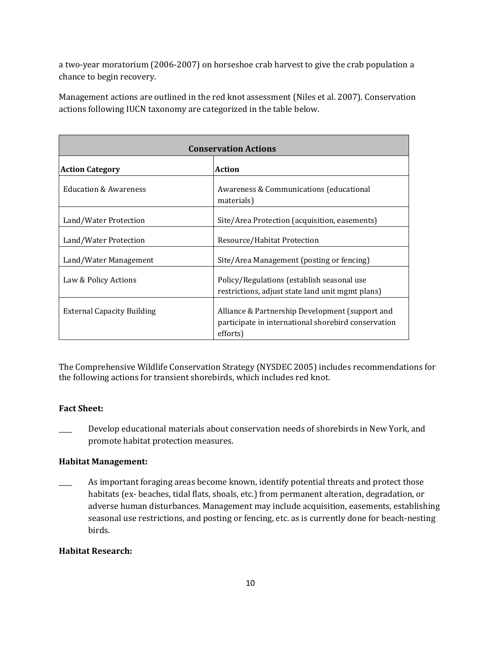a two-year moratorium (2006-2007) on horseshoe crab harvest to give the crab population a chance to begin recovery.

Management actions are outlined in the red knot assessment (Niles et al. 2007). Conservation actions following IUCN taxonomy are categorized in the table below.

| <b>Conservation Actions</b>       |                                                                                                                    |  |
|-----------------------------------|--------------------------------------------------------------------------------------------------------------------|--|
| <b>Action Category</b>            | <b>Action</b>                                                                                                      |  |
| <b>Education &amp; Awareness</b>  | Awareness & Communications (educational<br>materials)                                                              |  |
| Land/Water Protection             | Site/Area Protection (acquisition, easements)                                                                      |  |
| Land/Water Protection             | Resource/Habitat Protection                                                                                        |  |
| Land/Water Management             | Site/Area Management (posting or fencing)                                                                          |  |
| Law & Policy Actions              | Policy/Regulations (establish seasonal use<br>restrictions, adjust state land unit mgmt plans)                     |  |
| <b>External Capacity Building</b> | Alliance & Partnership Development (support and<br>participate in international shorebird conservation<br>efforts) |  |

The Comprehensive Wildlife Conservation Strategy (NYSDEC 2005) includes recommendations for the following actions for transient shorebirds, which includes red knot.

## **Fact Sheet:**

Develop educational materials about conservation needs of shorebirds in New York, and promote habitat protection measures.

# **Habitat Management:**

As important foraging areas become known, identify potential threats and protect those habitats (ex- beaches, tidal flats, shoals, etc.) from permanent alteration, degradation, or adverse human disturbances. Management may include acquisition, easements, establishing seasonal use restrictions, and posting or fencing, etc. as is currently done for beach-nesting birds.

# **Habitat Research:**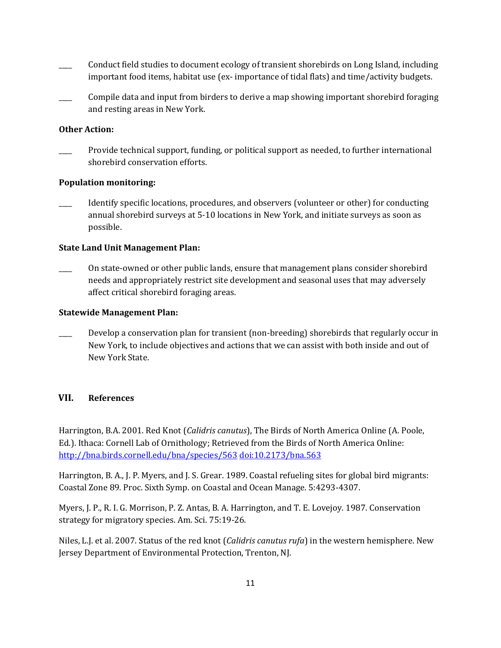- \_\_\_\_ Conduct field studies to document ecology of transient shorebirds on Long Island, including important food items, habitat use (ex- importance of tidal flats) and time/activity budgets.
- \_\_\_\_ Compile data and input from birders to derive a map showing important shorebird foraging and resting areas in New York.

## **Other Action:**

Provide technical support, funding, or political support as needed, to further international shorebird conservation efforts.

#### **Population monitoring:**

Identify specific locations, procedures, and observers (volunteer or other) for conducting annual shorebird surveys at 5-10 locations in New York, and initiate surveys as soon as possible.

## **State Land Unit Management Plan:**

\_\_\_\_ On state-owned or other public lands, ensure that management plans consider shorebird needs and appropriately restrict site development and seasonal uses that may adversely affect critical shorebird foraging areas.

#### **Statewide Management Plan:**

Develop a conservation plan for transient (non-breeding) shorebirds that regularly occur in New York, to include objectives and actions that we can assist with both inside and out of New York State.

## **VII. References**

Harrington, B.A. 2001. Red Knot (*Calidris canutus*), The Birds of North America Online (A. Poole, Ed.). Ithaca: Cornell Lab of Ornithology; Retrieved from the Birds of North America Online: <http://bna.birds.cornell.edu/bna/species/563> [doi:10.2173/bna.563](http://dx.doi.org/10.2173/bna.563)

Harrington, B. A., J. P. Myers, and J. S. Grear. 1989. Coastal refueling sites for global bird migrants: Coastal Zone 89. Proc. Sixth Symp. on Coastal and Ocean Manage. 5:4293-4307.

Myers, J. P., R. I. G. Morrison, P. Z. Antas, B. A. Harrington, and T. E. Lovejoy. 1987. Conservation strategy for migratory species. Am. Sci. 75:19-26.

Niles, L.J. et al. 2007. Status of the red knot (*Calidris canutus rufa*) in the western hemisphere. New Jersey Department of Environmental Protection, Trenton, NJ.